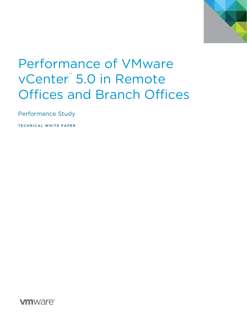

# Performance of VMware vCenter<sup>™</sup> 5.0 in Remote Offices and Branch Offices

Performance Study

TECHNICAL WHITE PAPER

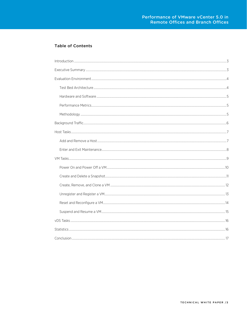### **Table of Contents**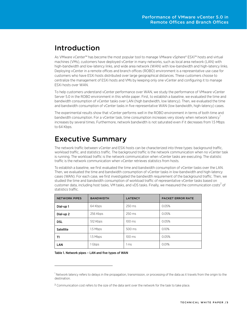### <span id="page-2-0"></span>Introduction

As VMware vCenter™ has become the most popular tool to manage VMware vSphere® ESXi™ hosts and virtual machines (VMs), customers have deployed vCenter in many networks, such as local area network (LAN) with high-bandwidth and low-latency links, and wide area network (WAN) with low-bandwidth and high-latency links. Deploying vCenter in a remote offices and branch offices (ROBO) environment is a representative use case for customers who have ESXi hosts distributed over large geographical distances. These customers choose to centralize the management of ESXi hosts and VMs by keeping only one vCenter and configuring it to manage ESXi hosts over WAN.

To help customers understand vCenter performance over WAN, we study the performance of VMware vCenter Server 5.0 in the ROBO environment in this white paper. First, to establish a baseline, we evaluated the time and bandwidth consumption of vCenter tasks over LAN (high bandwidth, low latency). Then, we evaluated the time and bandwidth consumption of vCenter tasks in five representative WAN (low bandwidth, high-latency) cases.

The experimental results show that vCenter performs well in the ROBO environment in terms of both time and bandwidth consumption. For a vCenter task, time consumption increases very slowly when network latency<sup>[1](#page-2-2)</sup> increases by several times. Furthermore, network bandwidth is not saturated even if it decreases from 1.5 Mbps to 64 Kbps.

### <span id="page-2-1"></span>Executive Summary

The network traffic between vCenter and ESXi hosts can be characterized into three types: background traffic, workload traffic, and statistics traffic. The background traffic is the network communication when no vCenter task is running. The workload traffic is the network communication when vCenter tasks are executing. The statistic traffic is the network communication when vCenter retrieves statistics from hosts.

To establish a baseline, we first evaluated the time and bandwidth consumption of vCenter tasks over the LAN. Then, we evaluated the time and bandwidth consumption of vCenter tasks in low-bandwidth and high-latency cases (WAN). For each case, we first investigated the bandwidth requirement of the background traffic. Then, we studied the time and bandwidth consumption of workload traffic of representative vCenter tasks based on customer data, including host tasks, VM tasks, and vDS tasks. Finally, we measured the communication costs<sup>[2](#page-2-3)</sup> of statistics traffic.

| <b>NETWORK PIPES</b> | <b>BANDWIDTH</b> | <b>LATENCY</b>   | <b>PACKET ERROR RATE</b> |
|----------------------|------------------|------------------|--------------------------|
| Dial-up 1            | 64 Kbps          | 250 ms           | 0.05%                    |
| Dial-up <sub>2</sub> | 256 Kbps         | 250 ms           | 0.05%                    |
| <b>DSL</b>           | 512 Kbps         | $100 \text{ ms}$ | 0.05%                    |
| <b>Satellite</b>     | 1.5 Mbps         | 500 ms           | 0.10%                    |
| T1                   | 1.5 Mbps         | 100 ms           | 0.05%                    |
| <b>LAN</b>           | Gbps             | 1 ms             | 0.01%                    |

<span id="page-2-4"></span>Table 1. Network pipes – LAN and five types of WAN

1

<span id="page-2-2"></span><sup>&</sup>lt;sup>1</sup> Network latency refers to delays in the propagation, transmission, or processing of the data as it travels from the origin to the destination.

<span id="page-2-3"></span><sup>2</sup> Communication cost refers to the size of the data sent over the network for the task to take place.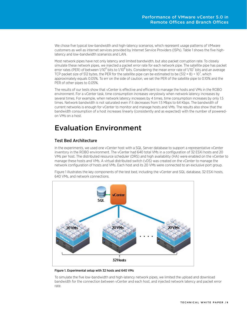We chose five typical low-bandwidth and high-latency scenarios, which represent usage patterns of VMware customers as well as internet services provided by Internet Service Providers (ISPs). [Table 1](#page-2-4) shows the five highlatency and low-bandwidth scenarios and LAN.

Most network pipes have not only latency and limited bandwidth, but also packet corruption rate. To closely simulate these network pipes, we injected a packet error rate for each network pipe. The satellite pipe has packet error rates (PER) of between 1/10<sup>6</sup> bits to 1/10<sup>8</sup> bits. Considering the mean error rate of 1/10<sup>7</sup> bits and an average TCP packet size of 512 bytes, the PER for the satellite pipe can be estimated to be (512 × 8) ÷ 10<sup>7</sup>, which approximately equals 0.05%. To err on the side of caution, we set the PER of the satellite pipe to 0.10% and the PER of other pipes to 0.05%.

The results of our tests show that vCenter is effective and efficient to manage the hosts and VMs in the ROBO environment. For a vCenter task, time consumption increases veryslowly when network latency increases by several times. For example, when network latency increases by 4 times, time consumption increases by only 1.5 times. Network bandwidth is not saturated even if it decreases from 1.5 Mbps to 64 Kbps. The bandwidth of current networks is enough for vCenter to monitor and manage hosts and VMs. The results also show that the bandwidth consumption of a host increases linearly (consistently and as expected) with the number of poweredon VMs on a host.

### <span id="page-3-0"></span>Evaluation Environment

### <span id="page-3-1"></span>Test Bed Architecture

In the experiments, we used one vCenter host with a SQL Server database to support a representative vCenter inventory in the ROBO environment. The vCenter had 640 total VMs in a configuration of 32 ESXi hosts and 20 VMs per host. The distributed resource scheduler (DRS) and high availability (HA) were enabled on the vCenter to manage these hosts and VMs. A virtual distributed switch (vDS) was created on the vCenter to manage the network configuration of hosts and VMs. Each host and its 20 VMs were connected to an exclusive port group.

[Figure 1](#page-3-2) illustrates the key components of the test bed, including the vCenter and SQL database, 32 ESXi hosts, 640 VMs, and network connections.



<span id="page-3-2"></span>Figure 1. Experimental setup with 32 hosts and 640 VMs

To simulate the five low-bandwidth and high-latency network pipes, we limited the upload and download bandwidth for the connection between vCenter and each host, and injected network latency and packet error rate.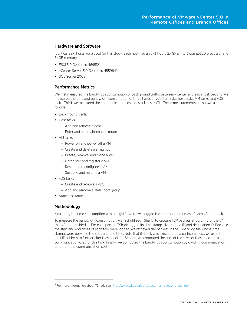#### <span id="page-4-0"></span>Hardware and Software

Identical ESXi hosts were used for this study. Each host had an eight-core 2.4GHZ Intel Xeon E5620 processor and 64GB memory.

- ESXi 5.0 GA (build 469512)
- vCenter Server 5.0 GA (build 455964)
- SQL Server 2008

#### <span id="page-4-1"></span>Performance Metrics

We first measured the bandwidth consumption of background traffic between vCenter and each host. Second, we measured the time and bandwidth consumption of three types of vCenter tasks: host tasks, VM tasks, and vDS tasks. Third, we measured the communication costs of statistics traffic. These measurements are shown as follows:

- Background traffic
- Host tasks
	- Add and remove a host
	- Enter and exit maintenance mode
- VM tasks
	- Power on and power off a VM
	- Create and delete a snapshot
	- Create, remove, and clone a VM
	- Unregister and register a VM
	- Reset and reconfigure a VM
	- Suspend and resume a VM
- vDS tasks
	- Create and remove a vDS
	- Add and remove a static port group
- Statistics traffic

#### <span id="page-4-2"></span>Methodology

1

Measuring the time consumption was straightforward: we logged the start and end times of each vCenter task.

To measure the bandwidth consumption, we first utilized TShark<sup>[3](#page-4-3)</sup> to capture TCP packets at port 443 of the VM that vCenter resided in. For each packet, TShark logged its time stamp, size, source IP, and destination IP. Because the start and end times of each task were logged, we retrieved the packets in the TShark log file whose time stamps were between the start and end time. Note that if a task was executed on a particular host, we used the host IP address to further filter these packets. Second, we computed the sum of the sizes of these packets as the communication cost for this task. Finally, we computed the bandwidth consumption by dividing communication time from the communication cost.

<span id="page-4-3"></span><sup>&</sup>lt;sup>3</sup> For more information about TShark, see http://www.wireshark.org/docs/man-pages/tshark.html.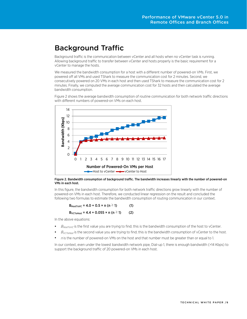### <span id="page-5-0"></span>Background Traffic

Background traffic is the communication between vCenter and all hosts when no vCenter task is running. Allowing background traffic to transfer between vCenter and hosts properly is the basic requirement for a vCenter to manage the hosts.

We measured the bandwidth consumption for a host with a different number of powered-on VMs. First, we powered off all VMs and used TShark to measure the communication cost for 2 minutes. Second, we consecutively powered on 20 VMs in each host and then used TShark to measure the communication cost for 2 minutes. Finally, we computed the average communication cost for 32 hosts and then calculated the average bandwidth consumption.

[Figure 2](#page-5-1) shows the average bandwidth consumption of routine communication for both network traffic directions with different numbers of powered-on VMs on each host.



<span id="page-5-1"></span>Figure 2. Bandwidth consumption of background traffic. The bandwidth increases linearly with the number of powered-on VMs in each host.

In this figure, the bandwidth consumption for both network traffic directions grow linearly with the number of powered-on VMs in each host. Therefore, we conducted linear regression on the result and concluded the following two formulas to estimate the bandwidth consumption of routing communication in our context.

$$
B_{\text{HostTOVC}} = 4.0 + 0.5 \times n \ (n \ge 1)
$$
 (1)

$$
B_{VCTollost} = 4.4 + 0.055 \times n (n \ge 1)
$$
 (2)

In the above equations:

- $B_{H\alpha\tau\tau\alpha V\zeta}$  is the first value you are trying to find; this is the bandwidth consumption of the host to vCenter.
- $B_{VCToHost}$  is the second value you are trying to find; this is the bandwidth consumption of vCenter to the host.
- $n$  is the number of powered-on VMs on the host and that number must be greater than or equal to 1.

In our context, even under the lowest bandwidth network pipe, Dial-up 1, there is enough bandwidth (>14 Kbps) to support the background traffic of 20 powered-on VMs in each host.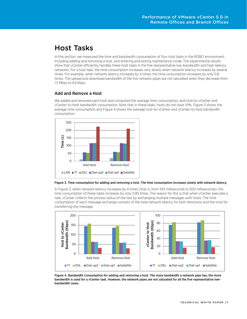# <span id="page-6-0"></span>Host Tasks

In this section, we measured the time and bandwidth consumption of four host tasks in the ROBO environment, including adding and removing a host, and entering and exiting maintenance mode. The experimental results show that vCenter efficiently handles these host tasks in the five representative low-bandwidth and high-latency networks. For a host task, the time consumption increases very slowly when network latency increases by several times. For example, when network latency increases by 4 times, the time consumption increases by only 0.8 times. The upload and download bandwidth of the five network pipes are not saturated when they decrease from 1.5 Mbps to 64 Kbps.

#### <span id="page-6-1"></span>Add and Remove a Host

We added and removed each host and computed the average time consumption, and host-to-vCenter and vCenter-to-host bandwidth consumption. Note that in these tasks, hosts do not have VMs. [Figure 3](#page-6-2) shows the average time consumption an[d Figure 4](#page-6-3) shows the average host-to-vCenter and vCenter-to-host bandwidth consumption.



#### <span id="page-6-2"></span>Figure 3. Time consumption for adding and removing a host. The time consumption increases slowly with network latency.

I[n Figure 3,](#page-6-2) when network latency increases by 4 times (that is, from 100 milliseconds to 500 milliseconds), the time consumption of these tasks increases by only 0.85 times. The reason for this is that when vCenter executes a task, vCenter collects the process status of the test by exchanging multiple messages with hosts. The time consumption of each message exchange consists of the total network latency for both directions and the time for transferring the message.



<span id="page-6-3"></span>Figure 4. Bandwidth Consumption for adding and removing a host. The more bandwidth a network pipe has, the more bandwidth is used for a vCenter task. However, the network pipes are not saturated for all the five representative lowbandwidth cases.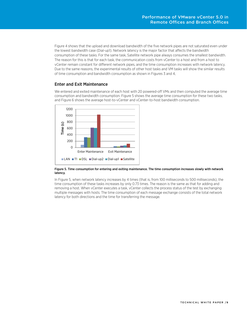[Figure 4](#page-6-3) shows that the upload and download bandwidth of the five network pipes are not saturated even under the lowest bandwidth case (Dial-up1). Network latency is the major factor that affects the bandwidth consumption of these tasks. For the same task, Satellite network pipe always consumes the smallest bandwidth. The reason for this is that for each task, the communication costs from vCenter to a host and from a host to vCenter remain constant for different network pipes, and the time consumption increases with network latency. Due to the same reasons, the experimental results of other host tasks and VM tasks will show the similar results of time consumption and bandwidth consumption as shown in Figures 3 and 4,

#### <span id="page-7-0"></span>Enter and Exit Maintenance

We entered and exited maintenance of each host with 20 powered-off VMs and then computed the average time consumption and bandwidth consumption. [Figure 5](#page-7-1) shows the average time consumption for these two tasks, and [Figure 6](#page-8-1) shows the average host-to-vCenter and vCenter-to-host bandwidth consumption.



#### <span id="page-7-1"></span>Figure 5. Time consumption for entering and exiting maintenance. The time consumption increases slowly with network latency.

In [Figure 5,](#page-7-1) when network latency increases by 4 times (that is, from 100 milliseconds to 500 milliseconds), the time consumption of these tasks increases by only 0.73 times. The reason is the same as that for adding and removing a host. When vCenter executes a task, vCenter collects the process status of the test by exchanging multiple messages with hosts. The time consumption of each message exchange consists of the total network latency for both directions and the time for transferring the message.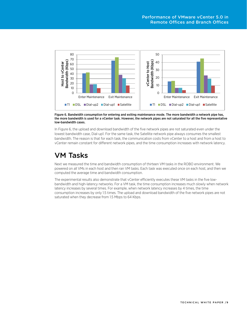

<span id="page-8-1"></span>Figure 6. Bandwidth consumption for entering and exiting maintenance mode. The more bandwidth a network pipe has, the more bandwidth is used for a vCenter task. However, the network pipes are not saturated for all the five representative low-bandwidth cases.

I[n Figure 6,](#page-8-1) the upload and download bandwidth of the five network pipes are not saturated even under the lowest bandwidth case, Dial-up1. For the same task, the Satellite network pipe always consumes the smallest bandwidth. The reason is that for each task, the communication costs from vCenter to a host and from a host to vCenter remain constant for different network pipes, and the time consumption increases with network latency.

### <span id="page-8-0"></span>VM Tasks

Next we measured the time and bandwidth consumption of thirteen VM tasks in the ROBO environment. We powered on all VMs in each host and then ran VM tasks. Each task was executed once on each host, and then we computed the average time and bandwidth consumption.

The experimental results also demonstrate that vCenter efficiently executes these VM tasks in the five lowbandwidth and high-latency networks. For a VM task, the time consumption increases much slowly when network latency increases by several times. For example, when network latency increases by 4 times, the time consumption increases by only 1.5 times. The upload and download bandwidth of the five network pipes are not saturated when they decrease from 1.5 Mbps to 64 Kbps.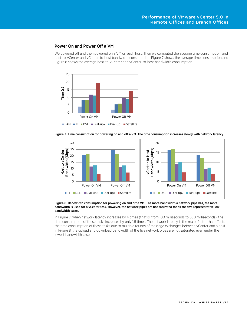### <span id="page-9-0"></span>Power On and Power Off a VM

We powered off and then powered on a VM on each host. Then we computed the average time consumption, and host-to-vCenter and vCenter-to-host bandwidth consumption. [Figure 7](#page-9-1) shows the average time consumption and [Figure 8](#page-9-2) shows the average host-to-vCenter and vCenter-to-host bandwidth consumption.



<span id="page-9-1"></span>Figure 7. Time consumption for powering on and off a VM. The time consumption increases slowly with network latency.



<span id="page-9-2"></span>Figure 8. Bandwidth consumption for powering on and off a VM. The more bandwidth a network pipe has, the more bandwidth is used for a vCenter task. However, the network pipes are not saturated for all the five representative lowbandwidth cases.

I[n Figure 7,](#page-9-1) when network latency increases by 4 times (that is, from 100 milliseconds to 500 milliseconds), the time consumption of these tasks increases by only 1.5 times. The network latency is the major factor that affects the time consumption of these tasks due to multiple rounds of message exchanges between vCenter and a host. I[n Figure 8,](#page-9-2) the upload and download bandwidth of the five network pipes are not saturated even under the lowest bandwidth case.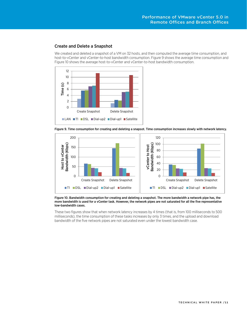### <span id="page-10-0"></span>Create and Delete a Snapshot

We created and deleted a snapshot of a VM on 32 hosts, and then computed the average time consumption, and host-to-vCenter and vCenter-to-host bandwidth consumption. [Figure 9](#page-10-1) shows the average time consumption and [Figure 10](#page-10-2) shows the average host-to-vCenter and vCenter-to-host bandwidth consumption.



<span id="page-10-1"></span>Figure 9. Time consumption for creating and deleting a snapsot. Time consumption increases slowly with network latency.



<span id="page-10-2"></span>Figure 10. Bandwidth consumption for creating and deleting a snapshot. The more bandwidth a network pipe has, the more bandwidth is used for a vCenter task. However, the network pipes are not saturated for all the five representative low-bandwidth cases.

These two figures show that when network latency increases by 4 times (that is, from 100 milliseconds to 500 milliseconds), the time consumption of these tasks increases by only 3 times, and the upload and download bandwidth of the five network pipes are not saturated even under the lowest bandwidth case.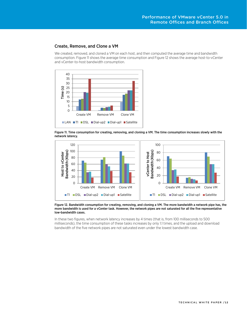### <span id="page-11-0"></span>Create, Remove, and Clone a VM

We created, removed, and cloned a VM on each host, and then computed the average time and bandwidth consumption[. Figure 11](#page-11-1) shows the average time consumption an[d Figure 12](#page-11-2) shows the average host-to-vCenter and vCenter-to-host bandwidth consumption.



<span id="page-11-1"></span>Figure 11. Time consumption for creating, removing, and cloning a VM. The time consumption increases slowly with the network latency.



<span id="page-11-2"></span>Figure 12. Bandwidth consumption for creating, removing, and cloning a VM. The more bandwidth a network pipe has, the more bandwidth is used for a vCenter task. However, the network pipes are not saturated for all the five representative low-bandwidth cases.

In these two figures, when network latency increases by 4 times (that is, from 100 milliseconds to 500 milliseconds), the time consumption of these tasks increases by only 1.1 times, and the upload and download bandwidth of the five network pipes are not saturated even under the lowest bandwidth case.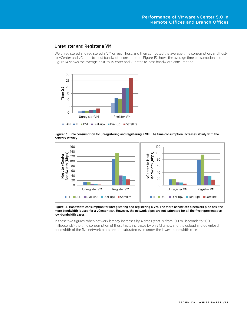### <span id="page-12-0"></span>Unregister and Register a VM

We unregistered and registered a VM on each host, and then computed the average time consumption, and hostto-vCenter and vCenter-to-host bandwidth consumption. [Figure 13](#page-12-1) shows the average time consumption and [Figure 14](#page-12-2) shows the average host-to-vCenter and vCenter-to-host bandwidth consumption.



<span id="page-12-1"></span>Figure 13. Time consumption for unregistering and registering a VM. The time consumption increases slowly with the network latency.



<span id="page-12-2"></span>Figure 14. Bandwidth consumption for unregistering and registering a VM. The more bandwidth a network pipe has, the more bandwidth is used for a vCenter task. However, the network pipes are not saturated for all the five representative low-bandwidth cases.

In these two figures, when network latency increases by 4 times (that is, from 100 milliseconds to 500 milliseconds) the time consumption of these tasks increases by only 1.1 times, and the upload and download bandwidth of the five network pipes are not saturated even under the lowest bandwidth case.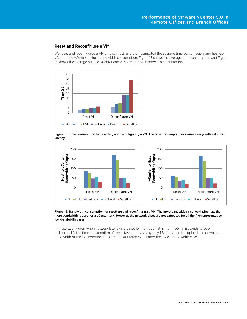### <span id="page-13-0"></span>Reset and Reconfigure a VM

We reset and reconfigured a VM on each host, and then computed the average time consumption, and host-tovCenter and vCenter-to-host bandwidth consumption. [Figure 15](#page-13-1) shows the average time consumption and Figure 16 shows the average host-to-vCenter and vCenter-to-host bandwidth consumption.



<span id="page-13-1"></span>Figure 15. Time consumption for resetting and reconfiguring a VM. The time consumption increases slowly with network latency.



#### Figure 16. Bandwidth consumption for resetting and reconfiguring a VM. The more bandwidth a network pipe has, the more bandwidth is used for a vCenter task. However, the network pipes are not saturated for all the five representative low-bandwidth cases.

In these two figures, when network latency increases by 4 times (that is, from 100 milliseconds to 500 milliseconds), the time consumption of these tasks increases by only 1.6 times, and the upload and download bandwidth of the five network pipes are not saturated even under the lowest bandwidth case.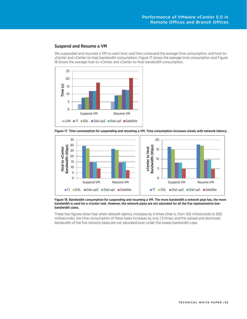### <span id="page-14-0"></span>Suspend and Resume a VM

We suspended and resumed a VM on each host, and then computed the average time consumption, and host-tovCenter and vCenter-to-host bandwidth consumption. [Figure 17](#page-14-1) shows the average time consumption and [Figure](#page-14-2)  [18](#page-14-2) shows the average host-to-vCenter and vCenter-to-host bandwidth consumption.



<span id="page-14-1"></span>Figure 17. Time consumption for suspending and resuming a VM. Time consumption increases slowly with network latency.



<span id="page-14-2"></span>Figure 18. Bandwidth consumption for suspending and resuming a VM. The more bandwidth a network pipe has, the more bandwidth is used for a vCenter task. However, the network pipes are not saturated for all the five representative lowbandwidth cases.

These two figures show that when network latency increases by 4 times (that is, from 100 milliseconds to 500 milliseconds), the time consumption of these tasks increases by only 1.3 times, and the upload and download bandwidth of the five network pipes are not saturated even under the lowest bandwidth case.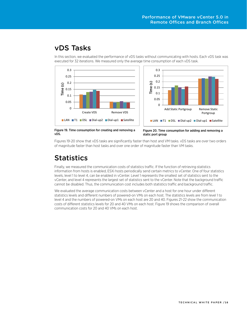### <span id="page-15-0"></span>vDS Tasks

In this section, we evaluated the performance of vDS tasks without communicating with hosts. Each vDS task was executed for 32 iterations. We measured only the average time consumption of each vDS task.



Figure 19. Time consumption for creating and removing a vDS.

Figure 20. Time consumption for adding and removing a static port group

Figures 19-20 show that vDS tasks are significantly faster than host and VM tasks. vDS tasks are over two orders of magnitude faster than host tasks and over one order of magnitude faster than VM tasks.

# <span id="page-15-1"></span>**Statistics**

Finally, we measured the communication costs of statistics traffic. If the function of retrieving statistics information from hosts is enabled, ESXi hosts periodically send certain metrics to vCenter. One of four statistics levels, level 1 to level 4, can be enabled in vCenter. Level 1 represents the smallest set of statistics sent to the vCenter, and level 4 represents the largest set of statistics sent to the vCenter. Note that the background traffic cannot be disabled. Thus, the communication cost includes both statistics traffic and background traffic.

We evaluated the average communication costs between vCenter and a host for one hour under different statistics levels and different numbers of powered-on VMs on each host. The statistics levels are from level 1 to level 4 and the numbers of powered-on VMs on each host are 20 and 40. Figures 21-22 show the communication costs of different statistics levels for 20 and 40 VMs on each host. Figure 19 shows the comparison of overall communication costs for 20 and 40 VMs on each host.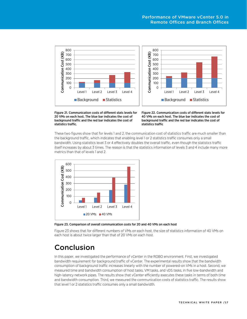

Figure 21. Communication costs of different stats levels for 20 VMs on each host. The blue bar indicates the cost of background traffic and the red bar indicates the cost of statistics traffic.

Figure 22. Communication costs of different stats levels for 40 VMs on each host. The blue bar indicates the cost of background traffic and the red bar indicates the cost of statistics traffic

These two figures show that for levels 1 and 2, the communication cost of statistics traffic are much smaller than the background traffic, which indicates that enabling level 1 or 2 statistics traffic consumes only a small bandwidth. Using statistics level 3 or 4 effectively doubles the overall traffic, even though the statistics traffic itself increases by about 3 times. The reason is that the statistics information of levels 3 and 4 include many more metrics than that of levels 1 and 2.



<span id="page-16-1"></span>Figure 23. Comparison of overall communication costs for 20 and 40 VMs on each host

[Figure 23](#page-16-1) shows that for different numbers of VMs on each host, the size of statistics information of 40 VMs on each host is about twice larger than that of 20 VMs on each host.

# <span id="page-16-0"></span>Conclusion

In this paper, we investigated the performance of vCenter in the ROBO environment. First, we investigated bandwidth requirement for background traffic of vCenter. The experimental results show that the bandwidth consumption of background traffic increases linearly with the number of powered-on VMs in a host. Second, we measured time and bandwidth consumption of host tasks, VM tasks, and vDS tasks, in five low-bandwidth and high-latency network pipes. The results show that vCenter efficiently executes these tasks in terms of both time and bandwidth consumption. Third, we measured the communication costs of statistics traffic. The results show that level 1 or 2 statistics traffic consumes only a small bandwidth.